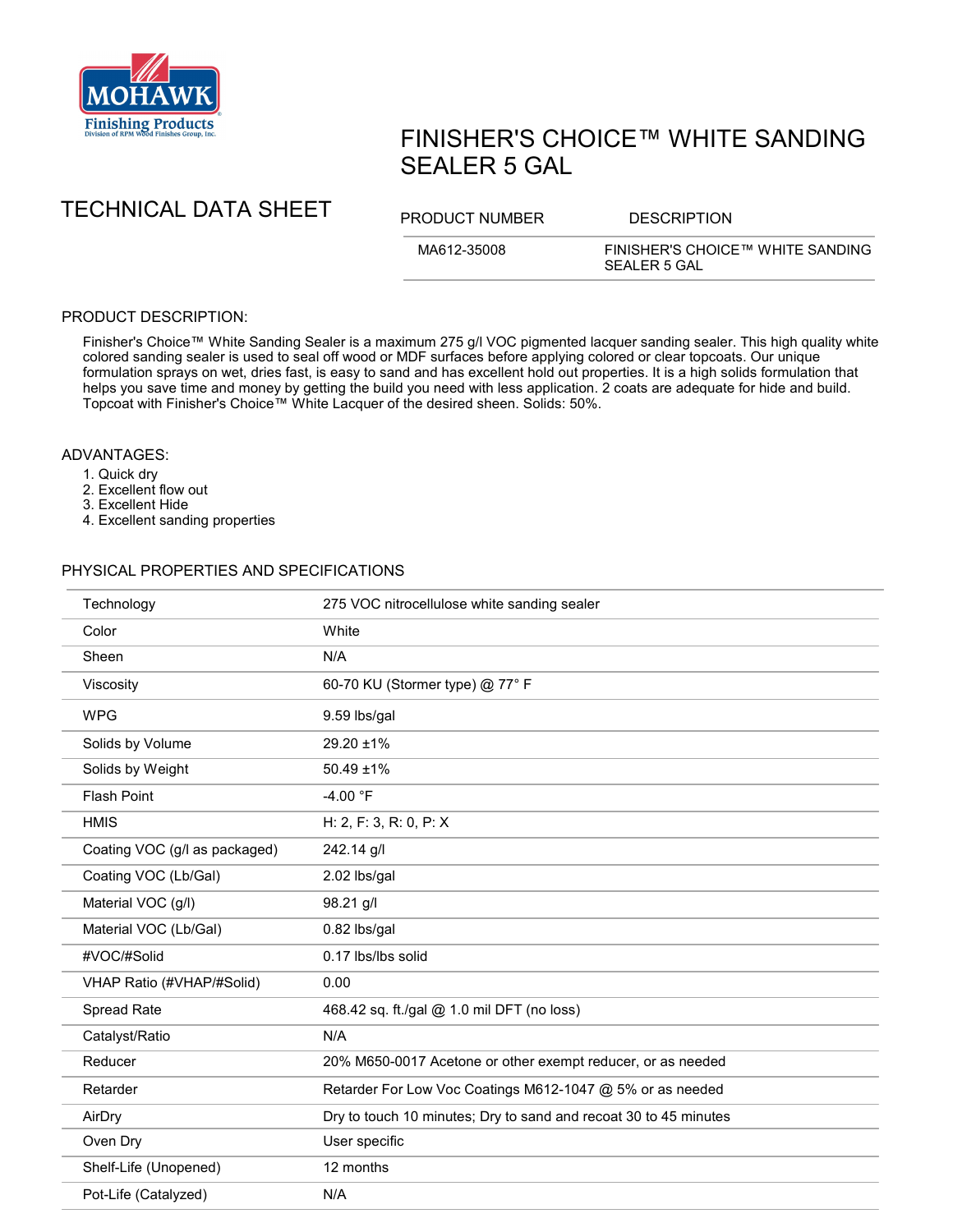

# FINISHER'S CHOICE™ WHITE SANDING SEALER 5 GAL

TECHNICAL DATA SHEET PRODUCT NUMBER DESCRIPTION

MA612-35008 FINISHER'S CHOICE™ WHITE SANDING SEALER 5 GAL

## PRODUCT DESCRIPTION:

Finisher's Choice™ White Sanding Sealer is a maximum 275 g/l VOC pigmented lacquer sanding sealer. This high quality white colored sanding sealer is used to seal off wood or MDF surfaces before applying colored or clear topcoats. Our unique formulation sprays on wet, dries fast, is easy to sand and has excellent hold out properties. It is a high solids formulation that helps you save time and money by getting the build you need with less application. 2 coats are adequate for hide and build. Topcoat with Finisher's Choice™ White Lacquer of the desired sheen. Solids: 50%.

### ADVANTAGES:

- 1. Quick dry
- 2. Excellent flow out
- 3. Excellent Hide
- 4. Excellent sanding properties

#### PHYSICAL PROPERTIES AND SPECIFICATIONS

| Technology                    | 275 VOC nitrocellulose white sanding sealer                      |
|-------------------------------|------------------------------------------------------------------|
| Color                         | White                                                            |
| Sheen                         | N/A                                                              |
| Viscosity                     | 60-70 KU (Stormer type) @ 77° F                                  |
| <b>WPG</b>                    | 9.59 lbs/gal                                                     |
| Solids by Volume              | 29.20 ±1%                                                        |
| Solids by Weight              | $50.49 \pm 1\%$                                                  |
| Flash Point                   | -4.00 °F                                                         |
| <b>HMIS</b>                   | H: 2, F: 3, R: 0, P: X                                           |
| Coating VOC (g/l as packaged) | 242.14 g/l                                                       |
| Coating VOC (Lb/Gal)          | 2.02 lbs/gal                                                     |
| Material VOC (g/l)            | 98.21 g/l                                                        |
| Material VOC (Lb/Gal)         | 0.82 lbs/gal                                                     |
| #VOC/#Solid                   | 0.17 lbs/lbs solid                                               |
| VHAP Ratio (#VHAP/#Solid)     | 0.00                                                             |
| Spread Rate                   | 468.42 sq. ft./gal @ 1.0 mil DFT (no loss)                       |
| Catalyst/Ratio                | N/A                                                              |
| Reducer                       | 20% M650-0017 Acetone or other exempt reducer, or as needed      |
| Retarder                      | Retarder For Low Voc Coatings M612-1047 @ 5% or as needed        |
| AirDry                        | Dry to touch 10 minutes; Dry to sand and recoat 30 to 45 minutes |
| Oven Dry                      | User specific                                                    |
| Shelf-Life (Unopened)         | 12 months                                                        |
| Pot-Life (Catalyzed)          | N/A                                                              |